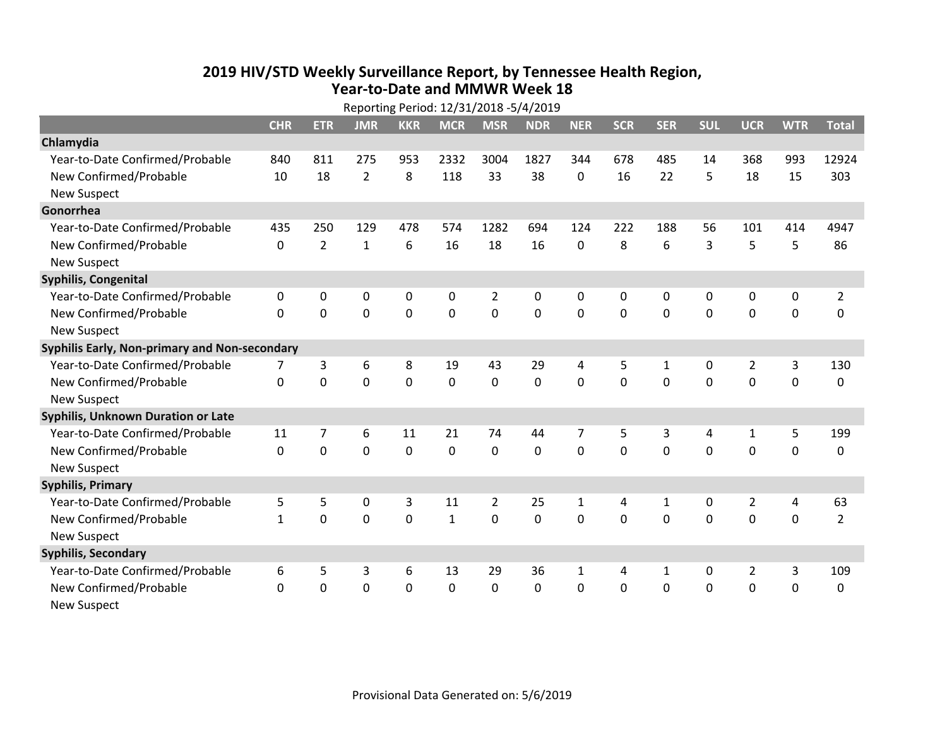## **2019 HIV /STD Weekly Surveillance Report, by Tennessee Health Region, Year‐to‐Date and MMWR Week 18**

| Reporting Period: 12/31/2018 -5/4/2019        |              |                |                |                |              |                |             |                |            |              |            |                |             |                |
|-----------------------------------------------|--------------|----------------|----------------|----------------|--------------|----------------|-------------|----------------|------------|--------------|------------|----------------|-------------|----------------|
|                                               | <b>CHR</b>   | <b>ETR</b>     | <b>JMR</b>     | <b>KKR</b>     | <b>MCR</b>   | <b>MSR</b>     | <b>NDR</b>  | <b>NER</b>     | <b>SCR</b> | <b>SER</b>   | <b>SUL</b> | <b>UCR</b>     | <b>WTR</b>  | <b>Total</b>   |
| Chlamydia                                     |              |                |                |                |              |                |             |                |            |              |            |                |             |                |
| Year-to-Date Confirmed/Probable               | 840          | 811            | 275            | 953            | 2332         | 3004           | 1827        | 344            | 678        | 485          | 14         | 368            | 993         | 12924          |
| New Confirmed/Probable                        | 10           | 18             | $\overline{2}$ | 8              | 118          | 33             | 38          | 0              | 16         | 22           | 5          | 18             | 15          | 303            |
| <b>New Suspect</b>                            |              |                |                |                |              |                |             |                |            |              |            |                |             |                |
| Gonorrhea                                     |              |                |                |                |              |                |             |                |            |              |            |                |             |                |
| Year-to-Date Confirmed/Probable               | 435          | 250            | 129            | 478            | 574          | 1282           | 694         | 124            | 222        | 188          | 56         | 101            | 414         | 4947           |
| New Confirmed/Probable                        | 0            | $\overline{2}$ | $\mathbf{1}$   | 6              | 16           | 18             | 16          | 0              | 8          | 6            | 3          | 5              | 5           | 86             |
| <b>New Suspect</b>                            |              |                |                |                |              |                |             |                |            |              |            |                |             |                |
| Syphilis, Congenital                          |              |                |                |                |              |                |             |                |            |              |            |                |             |                |
| Year-to-Date Confirmed/Probable               | 0            | 0              | 0              | 0              | 0            | $\overline{2}$ | 0           | $\Omega$       | 0          | 0            | 0          | 0              | 0           | $\overline{2}$ |
| New Confirmed/Probable                        | $\Omega$     | 0              | $\mathbf 0$    | $\mathbf 0$    | 0            | $\mathbf 0$    | $\mathbf 0$ | $\mathbf 0$    | 0          | $\mathbf 0$  | 0          | $\mathbf 0$    | $\mathbf 0$ | 0              |
| <b>New Suspect</b>                            |              |                |                |                |              |                |             |                |            |              |            |                |             |                |
| Syphilis Early, Non-primary and Non-secondary |              |                |                |                |              |                |             |                |            |              |            |                |             |                |
| Year-to-Date Confirmed/Probable               | 7            | 3              | 6              | 8              | 19           | 43             | 29          | 4              | 5          | $\mathbf{1}$ | 0          | $\overline{2}$ | 3           | 130            |
| New Confirmed/Probable                        | $\Omega$     | 0              | $\overline{0}$ | $\overline{0}$ | 0            | $\mathbf 0$    | $\mathbf 0$ | $\Omega$       | $\Omega$   | $\Omega$     | 0          | $\mathbf 0$    | 0           | 0              |
| <b>New Suspect</b>                            |              |                |                |                |              |                |             |                |            |              |            |                |             |                |
| <b>Syphilis, Unknown Duration or Late</b>     |              |                |                |                |              |                |             |                |            |              |            |                |             |                |
| Year-to-Date Confirmed/Probable               | 11           | $\overline{7}$ | 6              | 11             | 21           | 74             | 44          | $\overline{7}$ | 5          | 3            | 4          | $\mathbf{1}$   | 5           | 199            |
| New Confirmed/Probable                        | 0            | $\Omega$       | $\mathbf 0$    | 0              | 0            | $\mathbf 0$    | $\mathbf 0$ | $\Omega$       | $\Omega$   | $\Omega$     | $\Omega$   | $\mathbf 0$    | $\mathbf 0$ | 0              |
| <b>New Suspect</b>                            |              |                |                |                |              |                |             |                |            |              |            |                |             |                |
| <b>Syphilis, Primary</b>                      |              |                |                |                |              |                |             |                |            |              |            |                |             |                |
| Year-to-Date Confirmed/Probable               | 5            | 5              | 0              | 3              | 11           | $\overline{2}$ | 25          | $\mathbf{1}$   | 4          | $\mathbf{1}$ | 0          | $\overline{2}$ | 4           | 63             |
| New Confirmed/Probable                        | $\mathbf{1}$ | 0              | 0              | 0              | $\mathbf{1}$ | $\mathbf 0$    | 0           | 0              | 0          | $\mathbf 0$  | 0          | $\mathbf 0$    | $\mathbf 0$ | $\overline{2}$ |
| <b>New Suspect</b>                            |              |                |                |                |              |                |             |                |            |              |            |                |             |                |
| <b>Syphilis, Secondary</b>                    |              |                |                |                |              |                |             |                |            |              |            |                |             |                |
| Year-to-Date Confirmed/Probable               | 6            | 5              | 3              | 6              | 13           | 29             | 36          | $\mathbf{1}$   | 4          | 1            | 0          | $\overline{2}$ | 3           | 109            |
| New Confirmed/Probable                        | 0            | 0              | 0              | $\mathbf 0$    | 0            | $\mathbf 0$    | 0           | 0              | 0          | $\mathbf 0$  | 0          | $\mathbf 0$    | 0           | 0              |
| <b>New Suspect</b>                            |              |                |                |                |              |                |             |                |            |              |            |                |             |                |